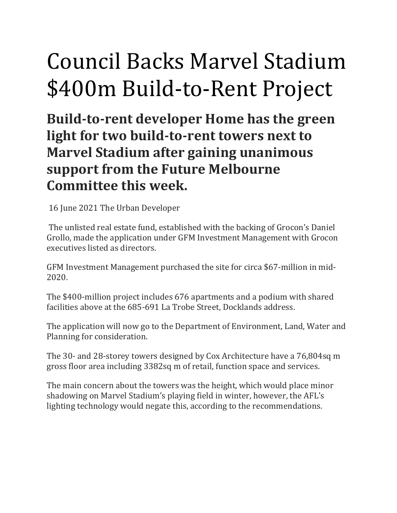## Council Backs Marvel Stadium \$400m Build-to-Rent Project

**Build-to-rent developer Home has the green light for two build-to-rent towers next to Marvel Stadium after gaining unanimous support from the Future Melbourne Committee this week.**

16 June 2021 The Urban Developer

The unlisted real estate fund, established with the backing of Grocon's Daniel Grollo, made the application under GFM Investment Management with Grocon executives listed as directors.

GFM Investment Management purchased the site for circa \$67-million in mid-2020.

The \$400-million project includes 676 apartments and a podium with shared facilities above at the 685-691 La Trobe Street, Docklands address.

The application will now go to the Department of Environment, Land, Water and Planning for consideration.

The 30- and 28-storey towers designed by Cox Architecture have a 76,804sq m gross floor area including 3382sq m of retail, function space and services.

The main concern about the towers was the height, which would place minor shadowing on Marvel Stadium's playing field in winter, however, the AFL's lighting technology would negate this, according to the recommendations.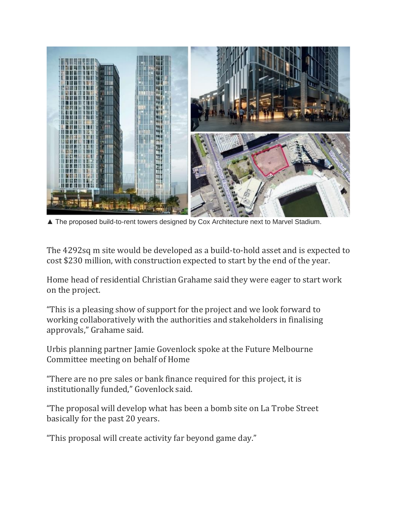

▲ The proposed build-to-rent towers designed by Cox Architecture next to Marvel Stadium.

The 4292sq m site would be developed as a build-to-hold asset and is expected to cost \$230 million, with construction expected to start by the end of the year.

Home head of residential Christian Grahame said they were eager to start work on the project.

"This is a pleasing show of support for the project and we look forward to working collaboratively with the authorities and stakeholders in finalising approvals," Grahame said.

Urbis planning partner Jamie Govenlock spoke at the Future Melbourne Committee meeting on behalf of Home

"There are no pre sales or bank finance required for this project, it is institutionally funded," Govenlock said.

"The proposal will develop what has been a bomb site on La Trobe Street basically for the past 20 years.

"This proposal will create activity far beyond game day."